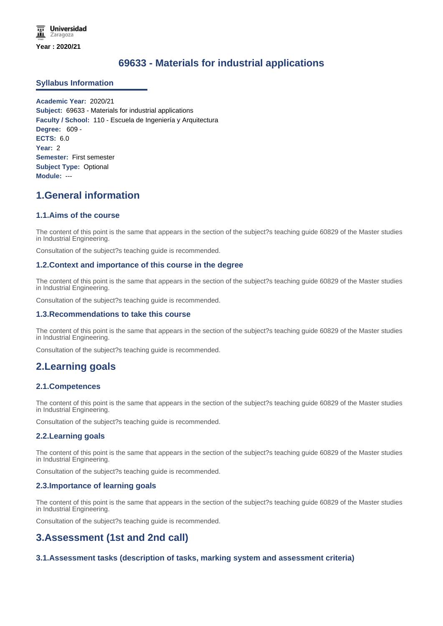# **69633 - Materials for industrial applications**

## **Syllabus Information**

**Academic Year:** 2020/21 **Subject:** 69633 - Materials for industrial applications **Faculty / School:** 110 - Escuela de Ingeniería y Arquitectura **Degree:** 609 - **ECTS:** 6.0 **Year:** 2 **Semester:** First semester **Subject Type:** Optional **Module:** ---

# **1.General information**

## **1.1.Aims of the course**

The content of this point is the same that appears in the section of the subject?s teaching guide 60829 of the Master studies in Industrial Engineering.

Consultation of the subject?s teaching guide is recommended.

#### **1.2.Context and importance of this course in the degree**

The content of this point is the same that appears in the section of the subject?s teaching guide 60829 of the Master studies in Industrial Engineering.

Consultation of the subject?s teaching guide is recommended.

#### **1.3.Recommendations to take this course**

The content of this point is the same that appears in the section of the subject?s teaching guide 60829 of the Master studies in Industrial Engineering.

Consultation of the subject?s teaching guide is recommended.

# **2.Learning goals**

# **2.1.Competences**

The content of this point is the same that appears in the section of the subject?s teaching guide 60829 of the Master studies in Industrial Engineering.

Consultation of the subject?s teaching guide is recommended.

#### **2.2.Learning goals**

The content of this point is the same that appears in the section of the subject?s teaching guide 60829 of the Master studies in Industrial Engineering.

Consultation of the subject?s teaching guide is recommended.

#### **2.3.Importance of learning goals**

The content of this point is the same that appears in the section of the subject?s teaching guide 60829 of the Master studies in Industrial Engineering.

Consultation of the subject?s teaching guide is recommended.

# **3.Assessment (1st and 2nd call)**

# **3.1.Assessment tasks (description of tasks, marking system and assessment criteria)**